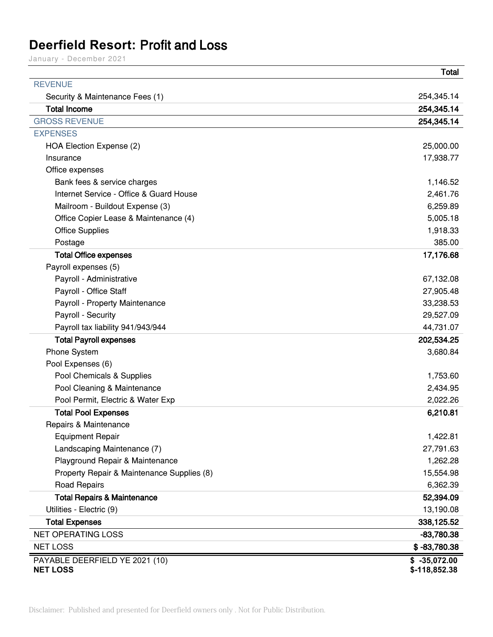# **Deerfield Resort: Profit and Loss**

January - December 2021

|                                            | <b>Total</b>   |
|--------------------------------------------|----------------|
| <b>REVENUE</b>                             |                |
| Security & Maintenance Fees (1)            | 254,345.14     |
| <b>Total Income</b>                        | 254,345.14     |
| <b>GROSS REVENUE</b>                       | 254,345.14     |
| <b>EXPENSES</b>                            |                |
| HOA Election Expense (2)                   | 25,000.00      |
| Insurance                                  | 17,938.77      |
| Office expenses                            |                |
| Bank fees & service charges                | 1,146.52       |
| Internet Service - Office & Guard House    | 2,461.76       |
| Mailroom - Buildout Expense (3)            | 6,259.89       |
| Office Copier Lease & Maintenance (4)      | 5,005.18       |
| <b>Office Supplies</b>                     | 1,918.33       |
| Postage                                    | 385.00         |
| <b>Total Office expenses</b>               | 17,176.68      |
| Payroll expenses (5)                       |                |
| Payroll - Administrative                   | 67,132.08      |
| Payroll - Office Staff                     | 27,905.48      |
| Payroll - Property Maintenance             | 33,238.53      |
| Payroll - Security                         | 29,527.09      |
| Payroll tax liability 941/943/944          | 44,731.07      |
| <b>Total Payroll expenses</b>              | 202,534.25     |
| Phone System                               | 3,680.84       |
| Pool Expenses (6)                          |                |
| Pool Chemicals & Supplies                  | 1,753.60       |
| Pool Cleaning & Maintenance                | 2,434.95       |
| Pool Permit, Electric & Water Exp          | 2,022.26       |
| <b>Total Pool Expenses</b>                 | 6,210.81       |
| Repairs & Maintenance                      |                |
| <b>Equipment Repair</b>                    | 1,422.81       |
| Landscaping Maintenance (7)                | 27,791.63      |
| Playground Repair & Maintenance            | 1,262.28       |
| Property Repair & Maintenance Supplies (8) | 15,554.98      |
| <b>Road Repairs</b>                        | 6,362.39       |
| <b>Total Repairs &amp; Maintenance</b>     | 52,394.09      |
| Utilities - Electric (9)                   | 13,190.08      |
| <b>Total Expenses</b>                      | 338,125.52     |
| <b>NET OPERATING LOSS</b>                  | $-83,780.38$   |
| <b>NET LOSS</b>                            | $$ -83,780.38$ |
| PAYABLE DEERFIELD YE 2021 (10)             | $$ -35,072.00$ |
| <b>NET LOSS</b>                            | $$-118,852.38$ |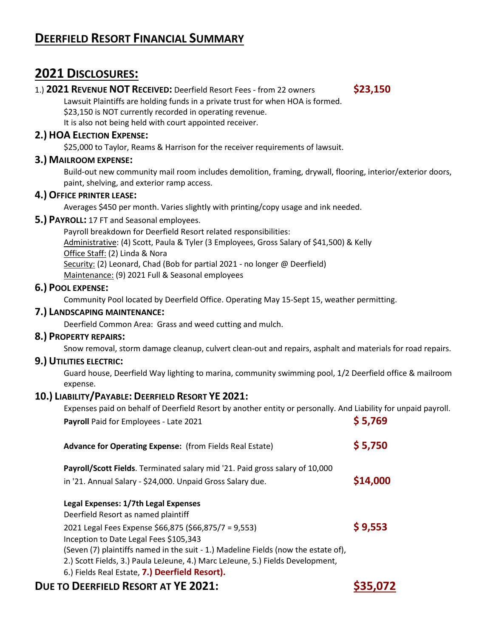# **DEERFIELD RESORT FINANCIAL SUMMARY**

# **2021 DISCLOSURES:**

# 1.) **2021 REVENUE NOT RECEIVED:** Deerfield Resort Fees - from 22 owners **\$23,150**

Lawsuit Plaintiffs are holding funds in a private trust for when HOA is formed. \$23,150 is NOT currently recorded in operating revenue.

It is also not being held with court appointed receiver.

# **2.) HOA ELECTION EXPENSE:**

\$25,000 to Taylor, Reams & Harrison for the receiver requirements of lawsuit.

### **3.) MAILROOM EXPENSE:**

Build-out new community mail room includes demolition, framing, drywall, flooring, interior/exterior doors, paint, shelving, and exterior ramp access.

### **4.) OFFICE PRINTER LEASE:**

Averages \$450 per month. Varies slightly with printing/copy usage and ink needed.

#### **5.) PAYROLL:** 17 FT and Seasonal employees.

Payroll breakdown for Deerfield Resort related responsibilities: Administrative: (4) Scott, Paula & Tyler (3 Employees, Gross Salary of \$41,500) & Kelly Office Staff: (2) Linda & Nora Security: (2) Leonard, Chad (Bob for partial 2021 - no longer @ Deerfield) Maintenance: (9) 2021 Full & Seasonal employees

#### **6.) POOL EXPENSE:**

Community Pool located by Deerfield Office. Operating May 15-Sept 15, weather permitting.

### **7.) LANDSCAPING MAINTENANCE:**

Deerfield Common Area: Grass and weed cutting and mulch.

#### **8.) PROPERTY REPAIRS:**

Snow removal, storm damage cleanup, culvert clean-out and repairs, asphalt and materials for road repairs.

#### **9.) UTILITIES ELECTRIC:**

Guard house, Deerfield Way lighting to marina, community swimming pool, 1/2 Deerfield office & mailroom expense.

#### **10.) LIABILITY/PAYABLE: DEERFIELD RESORT YE 2021:**

Expenses paid on behalf of Deerfield Resort by another entity or personally. And Liability for unpaid payroll.

| Payroll Paid for Employees - Late 2021                                                                                                                                                                                 | \$5,769  |
|------------------------------------------------------------------------------------------------------------------------------------------------------------------------------------------------------------------------|----------|
| <b>Advance for Operating Expense:</b> (from Fields Real Estate)                                                                                                                                                        | \$5,750  |
| Payroll/Scott Fields. Terminated salary mid '21. Paid gross salary of 10,000<br>in '21. Annual Salary - \$24,000. Unpaid Gross Salary due.                                                                             | \$14,000 |
| Legal Expenses: 1/7th Legal Expenses<br>Deerfield Resort as named plaintiff                                                                                                                                            |          |
| 2021 Legal Fees Expense \$66,875 (\$66,875/7 = 9,553)<br>Inception to Date Legal Fees \$105,343                                                                                                                        | \$9,553  |
| (Seven (7) plaintiffs named in the suit - 1.) Madeline Fields (now the estate of),<br>2.) Scott Fields, 3.) Paula LeJeune, 4.) Marc LeJeune, 5.) Fields Development,<br>6.) Fields Real Estate, 7.) Deerfield Resort). |          |
| <b>DUE TO DEERFIELD RESORT AT YE 2021:</b>                                                                                                                                                                             |          |